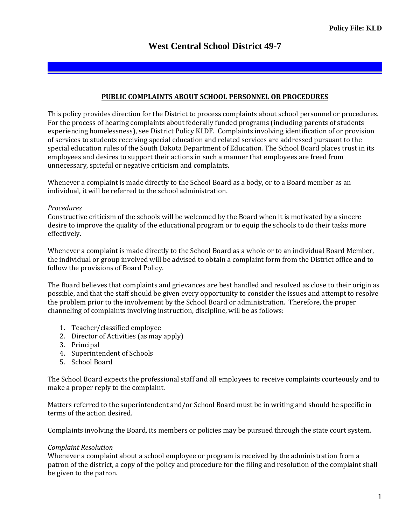## **PUBLIC COMPLAINTS ABOUT SCHOOL PERSONNEL OR PROCEDURES**

This policy provides direction for the District to process complaints about school personnel or procedures. For the process of hearing complaints about federally funded programs (including parents of students experiencing homelessness), see District Policy KLDF. Complaints involving identification of or provision of services to students receiving special education and related services are addressed pursuant to the special education rules of the South Dakota Department of Education. The School Board places trust in its employees and desires to support their actions in such a manner that employees are freed from unnecessary, spiteful or negative criticism and complaints.

Whenever a complaint is made directly to the School Board as a body, or to a Board member as an individual, it will be referred to the school administration.

## *Procedures*

Constructive criticism of the schools will be welcomed by the Board when it is motivated by a sincere desire to improve the quality of the educational program or to equip the schools to do their tasks more effectively.

Whenever a complaint is made directly to the School Board as a whole or to an individual Board Member, the individual or group involved will be advised to obtain a complaint form from the District office and to follow the provisions of Board Policy.

The Board believes that complaints and grievances are best handled and resolved as close to their origin as possible, and that the staff should be given every opportunity to consider the issues and attempt to resolve the problem prior to the involvement by the School Board or administration. Therefore, the proper channeling of complaints involving instruction, discipline, will be as follows:

- 1. Teacher/classified employee
- 2. Director of Activities (as may apply)
- 3. Principal
- 4. Superintendent of Schools
- 5. School Board

The School Board expects the professional staff and all employees to receive complaints courteously and to make a proper reply to the complaint.

Matters referred to the superintendent and/or School Board must be in writing and should be specific in terms of the action desired.

Complaints involving the Board, its members or policies may be pursued through the state court system.

## *Complaint Resolution*

Whenever a complaint about a school employee or program is received by the administration from a patron of the district, a copy of the policy and procedure for the filing and resolution of the complaint shall be given to the patron.